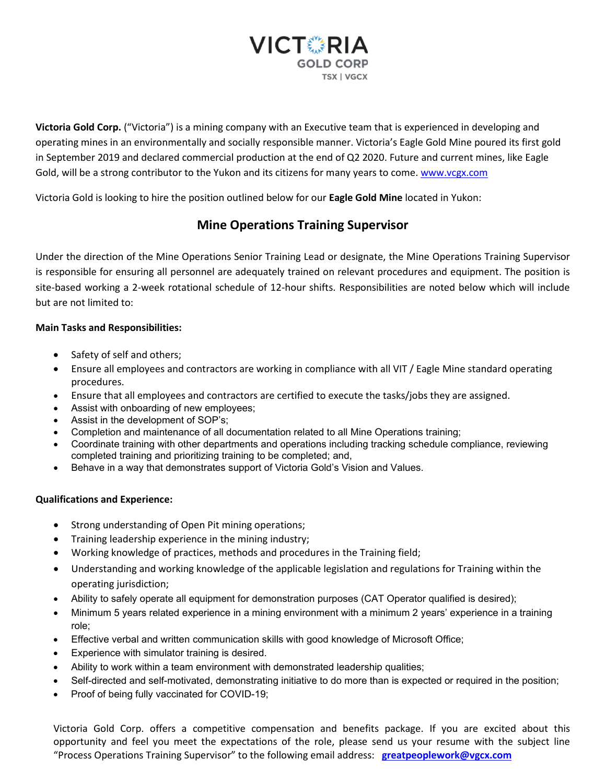

**Victoria Gold Corp.** ("Victoria") is a mining company with an Executive team that is experienced in developing and operating mines in an environmentally and socially responsible manner. Victoria's Eagle Gold Mine poured its first gold in September 2019 and declared commercial production at the end of Q2 2020. Future and current mines, like Eagle Gold, will be a strong contributor to the Yukon and its citizens for many years to come. [www.vcgx.com](http://www.vcgx.com/)

Victoria Gold is looking to hire the position outlined below for our **Eagle Gold Mine** located in Yukon:

## **Mine Operations Training Supervisor**

Under the direction of the Mine Operations Senior Training Lead or designate, the Mine Operations Training Supervisor is responsible for ensuring all personnel are adequately trained on relevant procedures and equipment. The position is site-based working a 2-week rotational schedule of 12-hour shifts. Responsibilities are noted below which will include but are not limited to:

## **Main Tasks and Responsibilities:**

- Safety of self and others;
- Ensure all employees and contractors are working in compliance with all VIT / Eagle Mine standard operating procedures.
- Ensure that all employees and contractors are certified to execute the tasks/jobs they are assigned.
- Assist with onboarding of new employees;
- Assist in the development of SOP's;
- Completion and maintenance of all documentation related to all Mine Operations training;
- Coordinate training with other departments and operations including tracking schedule compliance, reviewing completed training and prioritizing training to be completed; and,
- Behave in a way that demonstrates support of Victoria Gold's Vision and Values.

## **Qualifications and Experience:**

- Strong understanding of Open Pit mining operations;
- Training leadership experience in the mining industry;
- Working knowledge of practices, methods and procedures in the Training field;
- Understanding and working knowledge of the applicable legislation and regulations for Training within the operating jurisdiction;
- Ability to safely operate all equipment for demonstration purposes (CAT Operator qualified is desired);
- Minimum 5 years related experience in a mining environment with a minimum 2 years' experience in a training role;
- Effective verbal and written communication skills with good knowledge of Microsoft Office;
- Experience with simulator training is desired.
- Ability to work within a team environment with demonstrated leadership qualities;
- Self-directed and self-motivated, demonstrating initiative to do more than is expected or required in the position;
- Proof of being fully vaccinated for COVID-19;

Victoria Gold Corp. offers a competitive compensation and benefits package. If you are excited about this opportunity and feel you meet the expectations of the role, please send us your resume with the subject line "Process Operations Training Supervisor" to the following email address: **[greatpeoplework@vgcx.com](mailto:greatpeoplework@vitgoldcorp.com)**